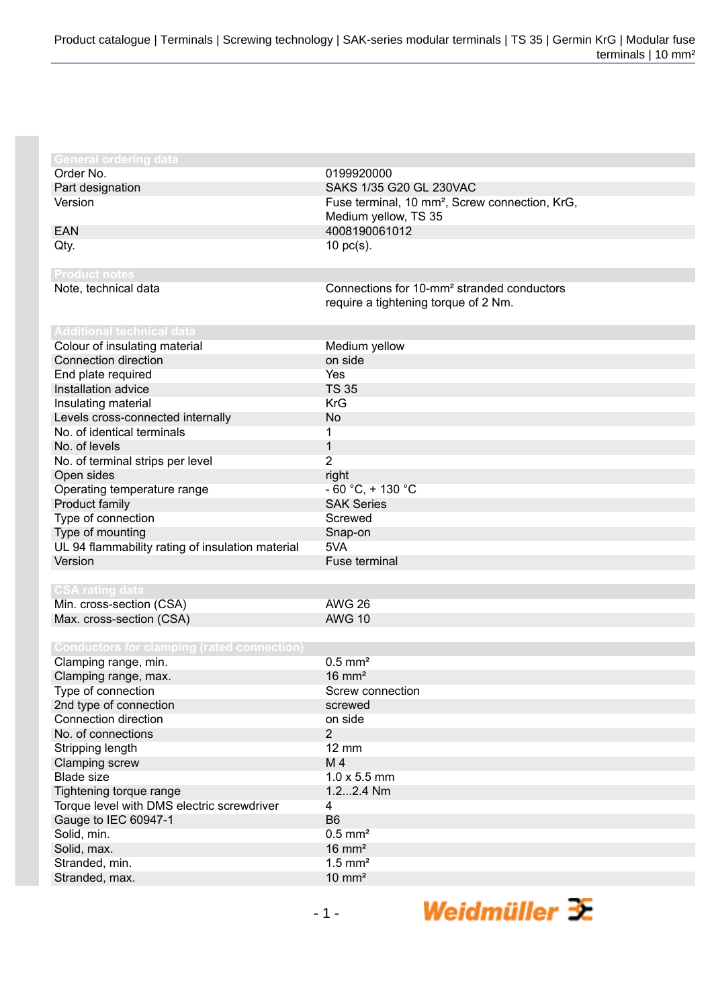| <b>General ordering data</b><br>Order No.         |                                                                                                |
|---------------------------------------------------|------------------------------------------------------------------------------------------------|
|                                                   | 0199920000                                                                                     |
| Part designation                                  | SAKS 1/35 G20 GL 230VAC                                                                        |
| Version                                           | Fuse terminal, 10 mm <sup>2</sup> , Screw connection, KrG,                                     |
|                                                   | Medium yellow, TS 35                                                                           |
| <b>EAN</b>                                        | 4008190061012                                                                                  |
| Qty.                                              | $10$ pc(s).                                                                                    |
|                                                   |                                                                                                |
| <b>Product notes</b>                              |                                                                                                |
| Note, technical data                              | Connections for 10-mm <sup>2</sup> stranded conductors<br>require a tightening torque of 2 Nm. |
|                                                   |                                                                                                |
| <b>Additional technical data</b>                  |                                                                                                |
| Colour of insulating material                     | Medium yellow                                                                                  |
| Connection direction                              | on side                                                                                        |
| End plate required                                | Yes                                                                                            |
| Installation advice                               | <b>TS 35</b>                                                                                   |
|                                                   | <b>KrG</b>                                                                                     |
| Insulating material                               |                                                                                                |
| Levels cross-connected internally                 | <b>No</b>                                                                                      |
| No. of identical terminals                        | 1                                                                                              |
| No. of levels                                     | $\mathbf{1}$                                                                                   |
| No. of terminal strips per level                  | $\overline{2}$                                                                                 |
| Open sides                                        | right                                                                                          |
| Operating temperature range                       | $-60 °C$ , + 130 °C                                                                            |
| Product family                                    | <b>SAK Series</b>                                                                              |
| Type of connection                                | Screwed                                                                                        |
| Type of mounting                                  | Snap-on                                                                                        |
| UL 94 flammability rating of insulation material  | 5VA                                                                                            |
| Version                                           | Fuse terminal                                                                                  |
|                                                   |                                                                                                |
| <b>CSA rating data</b>                            |                                                                                                |
| Min. cross-section (CSA)                          | <b>AWG 26</b>                                                                                  |
| Max. cross-section (CSA)                          | <b>AWG 10</b>                                                                                  |
|                                                   |                                                                                                |
| <b>Conductors for clamping (rated connection)</b> |                                                                                                |
| Clamping range, min.                              | $0.5$ mm <sup>2</sup>                                                                          |
| Clamping range, max.                              | $16 \text{ mm}^2$                                                                              |
| Type of connection                                | Screw connection                                                                               |
| 2nd type of connection                            | screwed                                                                                        |
| Connection direction                              | on side                                                                                        |
| No. of connections                                | $\overline{2}$                                                                                 |
| Stripping length                                  | 12 mm                                                                                          |
| Clamping screw                                    | M 4                                                                                            |
| <b>Blade size</b>                                 | $1.0 \times 5.5$ mm                                                                            |
| Tightening torque range                           | $1.22.4$ Nm                                                                                    |
| Torque level with DMS electric screwdriver        | 4                                                                                              |
| Gauge to IEC 60947-1                              | B <sub>6</sub>                                                                                 |
| Solid, min.                                       | $0.5$ mm <sup>2</sup>                                                                          |
| Solid, max.                                       | $16 \text{ mm}^2$                                                                              |
| Stranded, min.                                    | $1.5$ mm <sup>2</sup>                                                                          |
| Stranded, max.                                    | $10 \text{ mm}^2$                                                                              |
|                                                   |                                                                                                |

Weidmüller 3E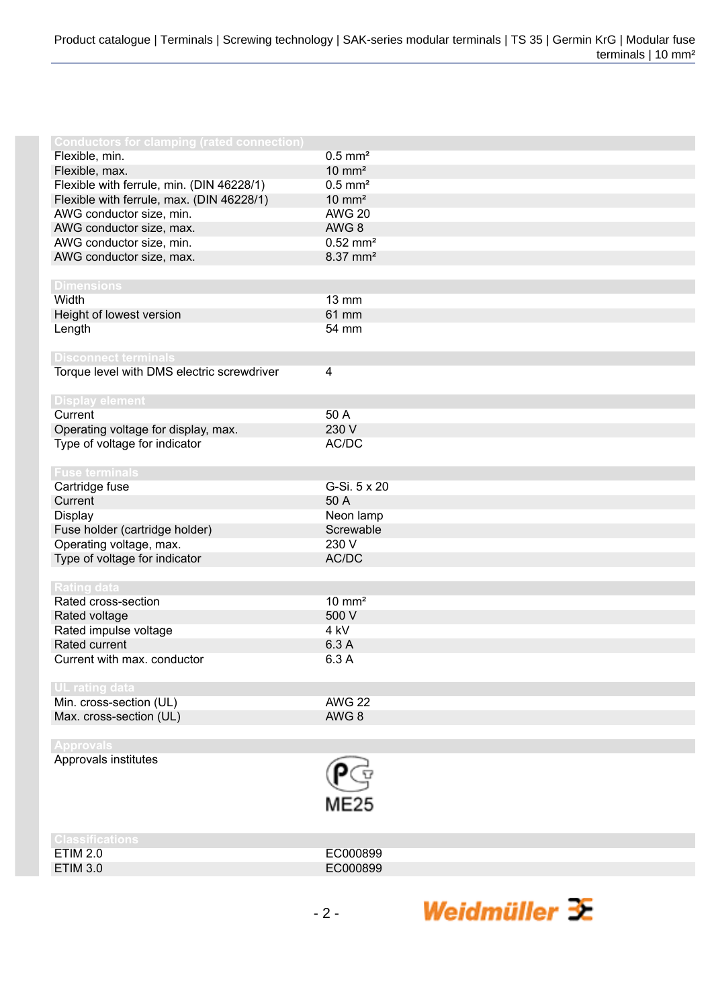| <b>Conductors for clamping (rated connection)</b> |                       |
|---------------------------------------------------|-----------------------|
| Flexible, min.                                    | $0.5$ mm <sup>2</sup> |
| Flexible, max.                                    | $10 \text{ mm}^2$     |
| Flexible with ferrule, min. (DIN 46228/1)         | $0.5$ mm <sup>2</sup> |
| Flexible with ferrule, max. (DIN 46228/1)         | $10 \text{ mm}^2$     |
| AWG conductor size, min.                          | <b>AWG 20</b>         |
| AWG conductor size, max.                          | AWG 8                 |
| AWG conductor size, min.                          | $0.52 \, \text{mm}^2$ |
| AWG conductor size, max.                          | 8.37 mm <sup>2</sup>  |
|                                                   |                       |
| <b>Dimensions</b>                                 |                       |
| Width                                             | <b>13 mm</b>          |
| Height of lowest version                          | 61 mm                 |
|                                                   | 54 mm                 |
| Length                                            |                       |
|                                                   |                       |
| <b>Disconnect terminals</b>                       |                       |
| Torque level with DMS electric screwdriver        | 4                     |
|                                                   |                       |
| <b>Display element</b>                            |                       |
| Current                                           | 50 A                  |
| Operating voltage for display, max.               | 230 V                 |
| Type of voltage for indicator                     | AC/DC                 |
|                                                   |                       |
| <b>Fuse terminals</b>                             |                       |
| Cartridge fuse                                    | G-Si. 5 x 20          |
| Current                                           | 50 A                  |
| Display                                           | Neon lamp             |
| Fuse holder (cartridge holder)                    | Screwable             |
|                                                   | 230 V                 |
| Operating voltage, max.                           |                       |
| Type of voltage for indicator                     | AC/DC                 |
|                                                   |                       |
| <b>Rating data</b>                                |                       |
| Rated cross-section                               | $10 \text{ mm}^2$     |
| Rated voltage                                     | 500 V                 |
| Rated impulse voltage                             | 4 kV                  |
| Rated current                                     | 6.3A                  |
| Current with max. conductor                       | 6.3 A                 |
|                                                   |                       |
| UL rating data                                    |                       |
| Min. cross-section (UL)                           | <b>AWG 22</b>         |
| Max. cross-section (UL)                           | AWG 8                 |
|                                                   |                       |
| <b>Approvals</b>                                  |                       |
| Approvals institutes                              |                       |
|                                                   |                       |
|                                                   |                       |
|                                                   |                       |
|                                                   | <b>ME25</b>           |
|                                                   |                       |
| <b>Classifications</b>                            |                       |
| <b>ETIM 2.0</b>                                   | EC000899              |
|                                                   |                       |
| <b>ETIM 3.0</b>                                   | EC000899              |